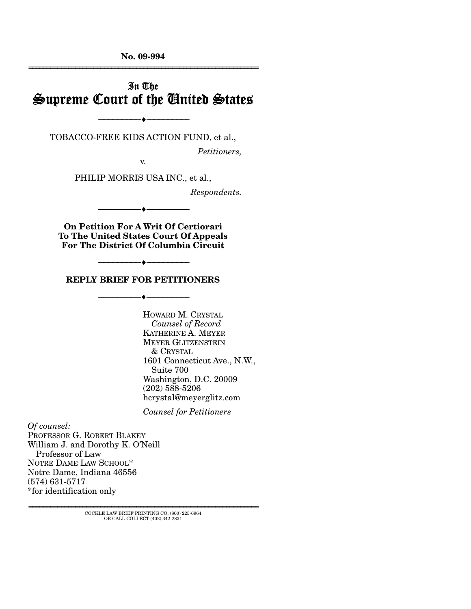**No. 09-994**  ================================================================

## In The Supreme Court of the United States

TOBACCO-FREE KIDS ACTION FUND, et al.,

--------------------------------- ♦ ---------------------------------

*Petitioners,* 

v.

PHILIP MORRIS USA INC., et al.,

*Respondents.* 

**On Petition For A Writ Of Certiorari To The United States Court Of Appeals For The District Of Columbia Circuit** 

--------------------------------- ♦ ---------------------------------

**REPLY BRIEF FOR PETITIONERS** 

--------------------------------- ♦ ---------------------------------

--------------------------------- ♦ ---------------------------------

HOWARD M. CRYSTAL *Counsel of Record* KATHERINE A. MEYER MEYER GLITZENSTEIN & CRYSTAL 1601 Connecticut Ave., N.W., Suite 700 Washington, D.C. 20009 (202) 588-5206 hcrystal@meyerglitz.com

*Counsel for Petitioners* 

*Of counsel:* PROFESSOR G. ROBERT BLAKEY William J. and Dorothy K. O'Neill Professor of Law NOTRE DAME LAW SCHOOL\* Notre Dame, Indiana 46556 (574) 631-5717 \*for identification only

================================================================ COCKLE LAW BRIEF PRINTING CO. (800) 225-6964 OR CALL COLLECT (402) 342-2831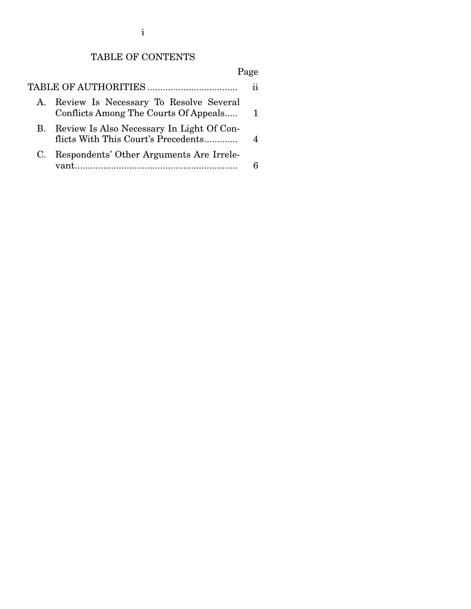i

# TABLE OF CONTENTS

| A. | Review Is Necessary To Resolve Several<br>Conflicts Among The Courts Of Appeals     |  |
|----|-------------------------------------------------------------------------------------|--|
|    | B. Review Is Also Necessary In Light Of Con-<br>flicts With This Court's Precedents |  |
| C. | Respondents' Other Arguments Are Irrele-                                            |  |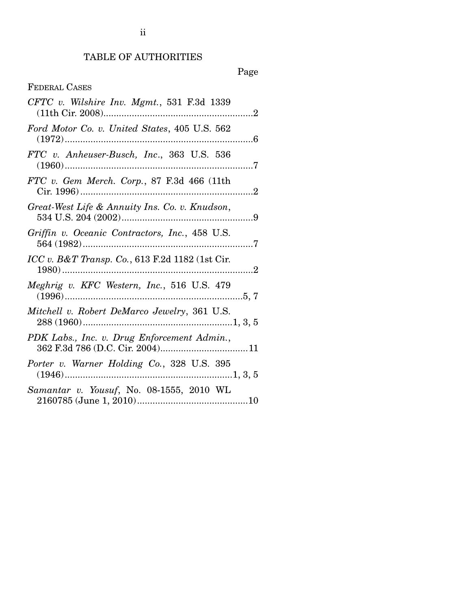### TABLE OF AUTHORITIES

### Page

### FEDERAL CASES

| CFTC v. Wilshire Inv. Mgmt., 531 F.3d 1339      |
|-------------------------------------------------|
| Ford Motor Co. v. United States, 405 U.S. 562   |
| FTC v. Anheuser-Busch, Inc., 363 U.S. 536       |
| FTC v. Gem Merch. Corp., 87 F.3d 466 (11th      |
| Great-West Life & Annuity Ins. Co. v. Knudson,  |
| Griffin v. Oceanic Contractors, Inc., 458 U.S.  |
| ICC v. B&T Transp. Co., 613 F.2d 1182 (1st Cir. |
| Meghrig v. KFC Western, Inc., 516 U.S. 479      |
| Mitchell v. Robert DeMarco Jewelry, 361 U.S.    |
| PDK Labs., Inc. v. Drug Enforcement Admin.,     |
| Porter v. Warner Holding Co., 328 U.S. 395      |
| Samantar v. Yousuf, No. 08-1555, 2010 WL        |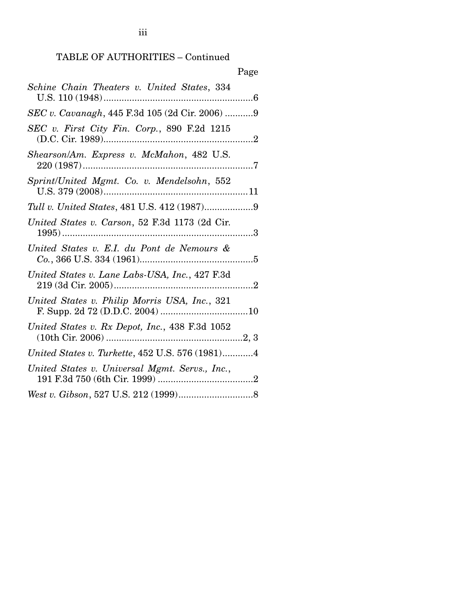### TABLE OF AUTHORITIES – Continued

|                                                 | Page |
|-------------------------------------------------|------|
| Schine Chain Theaters v. United States, 334     |      |
| SEC v. Cavanagh, 445 F.3d 105 (2d Cir. 2006) 9  |      |
| SEC v. First City Fin. Corp., 890 F.2d 1215     |      |
| Shearson/Am. Express v. McMahon, 482 U.S.       |      |
| Sprint/United Mgmt. Co. v. Mendelsohn, 552      |      |
|                                                 |      |
| United States v. Carson, 52 F.3d 1173 (2d Cir.  |      |
| United States v. E.I. du Pont de Nemours &      |      |
| United States v. Lane Labs-USA, Inc., 427 F.3d  |      |
| United States v. Philip Morris USA, Inc., 321   |      |
| United States v. Rx Depot, Inc., 438 F.3d 1052  |      |
| United States v. Turkette, 452 U.S. 576 (1981)4 |      |
| United States v. Universal Mgmt. Servs., Inc.,  |      |
|                                                 |      |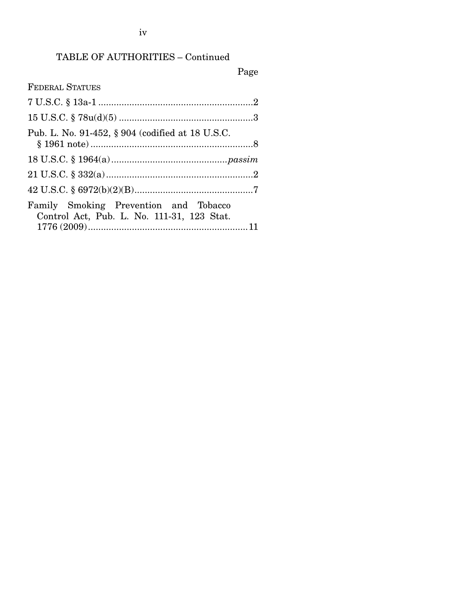TABLE OF AUTHORITIES – Continued

Page

| <b>FEDERAL STATUES</b>                                                              |
|-------------------------------------------------------------------------------------|
|                                                                                     |
|                                                                                     |
| Pub. L. No. 91-452, § 904 (codified at 18 U.S.C.                                    |
|                                                                                     |
|                                                                                     |
|                                                                                     |
| Family Smoking Prevention and Tobacco<br>Control Act, Pub. L. No. 111-31, 123 Stat. |

iv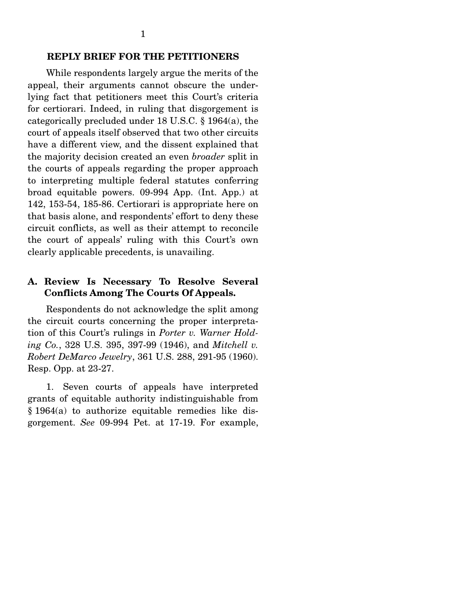#### **REPLY BRIEF FOR THE PETITIONERS**

 While respondents largely argue the merits of the appeal, their arguments cannot obscure the underlying fact that petitioners meet this Court's criteria for certiorari. Indeed, in ruling that disgorgement is categorically precluded under 18 U.S.C. § 1964(a), the court of appeals itself observed that two other circuits have a different view, and the dissent explained that the majority decision created an even *broader* split in the courts of appeals regarding the proper approach to interpreting multiple federal statutes conferring broad equitable powers. 09-994 App. (Int. App.) at 142, 153-54, 185-86. Certiorari is appropriate here on that basis alone, and respondents' effort to deny these circuit conflicts, as well as their attempt to reconcile the court of appeals' ruling with this Court's own clearly applicable precedents, is unavailing.

### **A. Review Is Necessary To Resolve Several Conflicts Among The Courts Of Appeals.**

 Respondents do not acknowledge the split among the circuit courts concerning the proper interpretation of this Court's rulings in *Porter v. Warner Holding Co.*, 328 U.S. 395, 397-99 (1946), and *Mitchell v. Robert DeMarco Jewelry*, 361 U.S. 288, 291-95 (1960). Resp. Opp. at 23-27.

 1. Seven courts of appeals have interpreted grants of equitable authority indistinguishable from § 1964(a) to authorize equitable remedies like disgorgement. *See* 09-994 Pet. at 17-19. For example,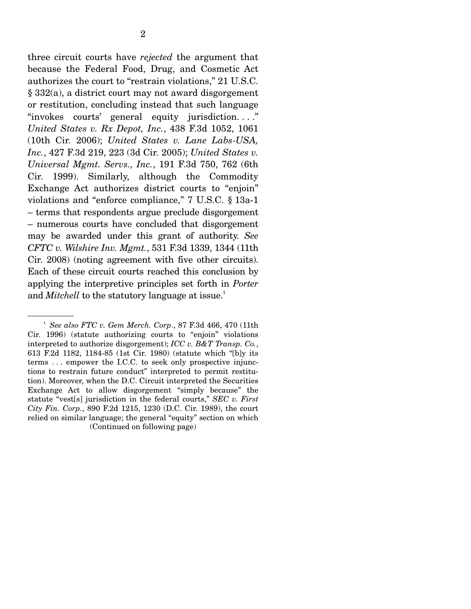three circuit courts have *rejected* the argument that because the Federal Food, Drug, and Cosmetic Act authorizes the court to "restrain violations," 21 U.S.C. § 332(a), a district court may not award disgorgement or restitution, concluding instead that such language "invokes courts' general equity jurisdiction. . . ." *United States v. Rx Depot, Inc.*, 438 F.3d 1052, 1061 (10th Cir. 2006); *United States v. Lane Labs-USA, Inc.*, 427 F.3d 219, 223 (3d Cir. 2005); *United States v. Universal Mgmt. Servs., Inc.*, 191 F.3d 750, 762 (6th Cir. 1999). Similarly, although the Commodity Exchange Act authorizes district courts to "enjoin" violations and "enforce compliance," 7 U.S.C. § 13a-1 – terms that respondents argue preclude disgorgement – numerous courts have concluded that disgorgement may be awarded under this grant of authority. *See CFTC v. Wilshire Inv. Mgmt.*, 531 F.3d 1339, 1344 (11th Cir. 2008) (noting agreement with five other circuits). Each of these circuit courts reached this conclusion by applying the interpretive principles set forth in *Porter*  and *Mitchell* to the statutory language at issue.<sup>1</sup>

<sup>1</sup> *See also FTC v. Gem Merch. Corp*., 87 F.3d 466, 470 (11th Cir. 1996) (statute authorizing courts to "enjoin" violations interpreted to authorize disgorgement); *ICC v. B&T Transp. Co.*, 613 F.2d 1182, 1184-85 (1st Cir. 1980) (statute which "[b]y its terms . . . empower the I.C.C. to seek only prospective injunctions to restrain future conduct" interpreted to permit restitution). Moreover, when the D.C. Circuit interpreted the Securities Exchange Act to allow disgorgement "simply because" the statute "vest[s] jurisdiction in the federal courts," *SEC v. First City Fin. Corp.*, 890 F.2d 1215, 1230 (D.C. Cir. 1989), the court relied on similar language; the general "equity" section on which (Continued on following page)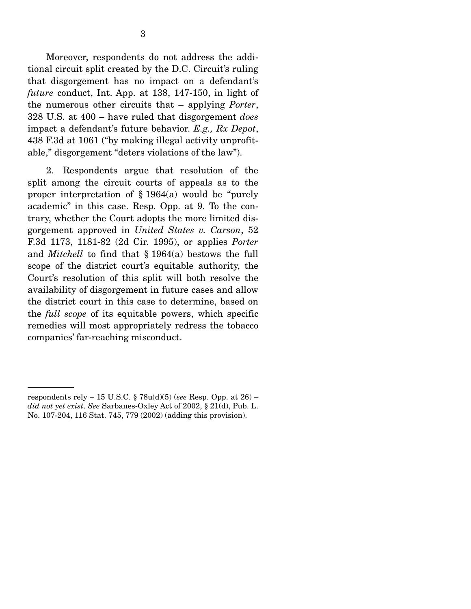Moreover, respondents do not address the additional circuit split created by the D.C. Circuit's ruling that disgorgement has no impact on a defendant's *future* conduct, Int. App. at 138, 147-150, in light of the numerous other circuits that – applying *Porter*, 328 U.S. at 400 – have ruled that disgorgement *does* impact a defendant's future behavior. *E.g., Rx Depot*, 438 F.3d at 1061 ("by making illegal activity unprofitable," disgorgement "deters violations of the law").

 2. Respondents argue that resolution of the split among the circuit courts of appeals as to the proper interpretation of § 1964(a) would be "purely academic" in this case. Resp. Opp. at 9. To the contrary, whether the Court adopts the more limited disgorgement approved in *United States v. Carson*, 52 F.3d 1173, 1181-82 (2d Cir. 1995), or applies *Porter* and *Mitchell* to find that § 1964(a) bestows the full scope of the district court's equitable authority, the Court's resolution of this split will both resolve the availability of disgorgement in future cases and allow the district court in this case to determine, based on the *full scope* of its equitable powers, which specific remedies will most appropriately redress the tobacco companies' far-reaching misconduct.

respondents rely – 15 U.S.C. § 78u(d)(5) (*see* Resp. Opp. at 26) – *did not yet exist*. *See* Sarbanes-Oxley Act of 2002, § 21(d), Pub. L. No. 107-204, 116 Stat. 745, 779 (2002) (adding this provision).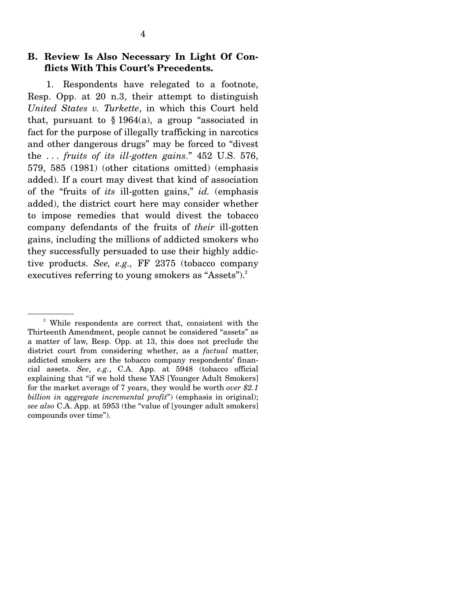#### **B. Review Is Also Necessary In Light Of Conflicts With This Court's Precedents.**

 1. Respondents have relegated to a footnote, Resp. Opp. at 20 n.3, their attempt to distinguish *United States v. Turkette*, in which this Court held that, pursuant to  $\S 1964(a)$ , a group "associated in fact for the purpose of illegally trafficking in narcotics and other dangerous drugs" may be forced to "divest the . . . *fruits of its ill-gotten gains*." 452 U.S. 576, 579, 585 (1981) (other citations omitted) (emphasis added). If a court may divest that kind of association of the "fruits of *its* ill-gotten gains," *id.* (emphasis added), the district court here may consider whether to impose remedies that would divest the tobacco company defendants of the fruits of *their* ill-gotten gains, including the millions of addicted smokers who they successfully persuaded to use their highly addictive products. *See, e.g.,* FF 2375 (tobacco company executives referring to young smokers as "Assets").<sup>2</sup>

<sup>2</sup> While respondents are correct that, consistent with the Thirteenth Amendment, people cannot be considered "assets" as a matter of law, Resp. Opp. at 13, this does not preclude the district court from considering whether, as a *factual* matter, addicted smokers are the tobacco company respondents' financial assets. *See*, *e.g.*, C.A. App. at 5948 (tobacco official explaining that "if we hold these YAS [Younger Adult Smokers] for the market average of 7 years, they would be worth *over \$2.1 billion in aggregate incremental profit*") (emphasis in original); *see also* C.A. App. at 5953 (the "value of [younger adult smokers] compounds over time").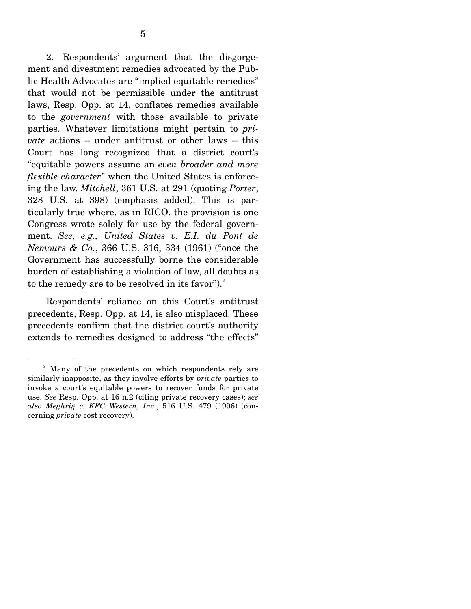2. Respondents' argument that the disgorgement and divestment remedies advocated by the Public Health Advocates are "implied equitable remedies" that would not be permissible under the antitrust laws, Resp. Opp. at 14, conflates remedies available to the *government* with those available to private parties. Whatever limitations might pertain to *private* actions – under antitrust or other laws – this Court has long recognized that a district court's "equitable powers assume an *even broader and more flexible character*" when the United States is enforceing the law. *Mitchell*, 361 U.S. at 291 (quoting *Porter*, 328 U.S. at 398) (emphasis added). This is particularly true where, as in RICO, the provision is one Congress wrote solely for use by the federal government. *See, e.g., United States v. E.I. du Pont de Nemours & Co.*, 366 U.S. 316, 334 (1961) ("once the Government has successfully borne the considerable burden of establishing a violation of law, all doubts as to the remedy are to be resolved in its favor").<sup>3</sup>

 Respondents' reliance on this Court's antitrust precedents, Resp. Opp. at 14, is also misplaced. These precedents confirm that the district court's authority extends to remedies designed to address "the effects"

<sup>3</sup> Many of the precedents on which respondents rely are similarly inapposite, as they involve efforts by *private* parties to invoke a court's equitable powers to recover funds for private use. *See* Resp. Opp. at 16 n.2 (citing private recovery cases); *see also Meghrig v. KFC Western, Inc.*, 516 U.S. 479 (1996) (concerning *private* cost recovery).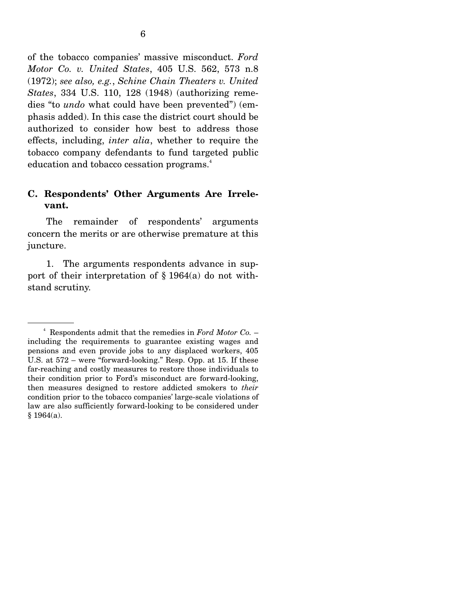of the tobacco companies' massive misconduct. *Ford Motor Co. v. United States*, 405 U.S. 562, 573 n.8 (1972); *see also, e.g.*, *Schine Chain Theaters v. United States*, 334 U.S. 110, 128 (1948) (authorizing remedies "to *undo* what could have been prevented") (emphasis added). In this case the district court should be authorized to consider how best to address those effects, including, *inter alia*, whether to require the tobacco company defendants to fund targeted public education and tobacco cessation programs.<sup>4</sup>

#### **C. Respondents' Other Arguments Are Irrelevant.**

 The remainder of respondents' arguments concern the merits or are otherwise premature at this juncture.

 1. The arguments respondents advance in support of their interpretation of § 1964(a) do not withstand scrutiny.

<sup>4</sup> Respondents admit that the remedies in *Ford Motor Co.* – including the requirements to guarantee existing wages and pensions and even provide jobs to any displaced workers, 405 U.S. at 572 – were "forward-looking." Resp. Opp. at 15. If these far-reaching and costly measures to restore those individuals to their condition prior to Ford's misconduct are forward-looking, then measures designed to restore addicted smokers to *their* condition prior to the tobacco companies' large-scale violations of law are also sufficiently forward-looking to be considered under  $§ 1964(a).$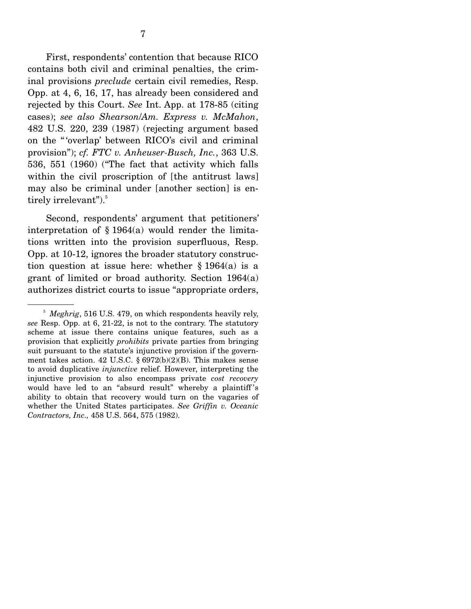First, respondents' contention that because RICO contains both civil and criminal penalties, the criminal provisions *preclude* certain civil remedies, Resp. Opp. at 4, 6, 16, 17, has already been considered and rejected by this Court. *See* Int. App. at 178-85 (citing cases); *see also Shearson*/*Am. Express v. McMahon*, 482 U.S. 220, 239 (1987) (rejecting argument based on the " 'overlap' between RICO's civil and criminal provision"); *cf. FTC v. Anheuser-Busch, Inc.*, 363 U.S. 536, 551 (1960) ("The fact that activity which falls within the civil proscription of [the antitrust laws] may also be criminal under [another section] is entirely irrelevant"). $5$ 

 Second, respondents' argument that petitioners' interpretation of § 1964(a) would render the limitations written into the provision superfluous, Resp. Opp. at 10-12, ignores the broader statutory construction question at issue here: whether  $\S 1964(a)$  is a grant of limited or broad authority. Section 1964(a) authorizes district courts to issue "appropriate orders,

<sup>&</sup>lt;sup>5</sup> *Meghrig*, 516 U.S. 479, on which respondents heavily rely, *see* Resp. Opp. at 6, 21-22, is not to the contrary. The statutory scheme at issue there contains unique features, such as a provision that explicitly *prohibits* private parties from bringing suit pursuant to the statute's injunctive provision if the government takes action. 42 U.S.C. § 6972(b)(2)(B). This makes sense to avoid duplicative *injunctive* relief. However, interpreting the injunctive provision to also encompass private *cost recovery* would have led to an "absurd result" whereby a plaintiff's ability to obtain that recovery would turn on the vagaries of whether the United States participates. *See Griffin v. Oceanic Contractors, Inc.,* 458 U.S. 564, 575 (1982).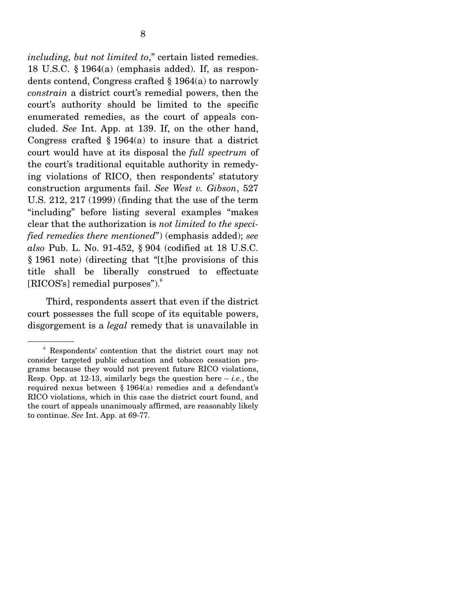*including, but not limited to*," certain listed remedies. 18 U.S.C. § 1964(a) (emphasis added). If, as respondents contend, Congress crafted § 1964(a) to narrowly *constrain* a district court's remedial powers, then the court's authority should be limited to the specific enumerated remedies, as the court of appeals concluded. *See* Int. App. at 139. If, on the other hand, Congress crafted  $\S 1964(a)$  to insure that a district court would have at its disposal the *full spectrum* of the court's traditional equitable authority in remedying violations of RICO, then respondents' statutory construction arguments fail. *See West v. Gibson*, 527 U.S. 212, 217 (1999) (finding that the use of the term "including" before listing several examples "makes clear that the authorization is *not limited to the specified remedies there mentioned*") (emphasis added); *see also* Pub. L. No. 91-452, § 904 (codified at 18 U.S.C. § 1961 note) (directing that "[t]he provisions of this title shall be liberally construed to effectuate  $[RICOS's]$  remedial purposes").<sup>6</sup>

 Third, respondents assert that even if the district court possesses the full scope of its equitable powers, disgorgement is a *legal* remedy that is unavailable in

<sup>6</sup> Respondents' contention that the district court may not consider targeted public education and tobacco cessation programs because they would not prevent future RICO violations, Resp. Opp. at 12-13, similarly begs the question here  $-i.e.,$  the required nexus between § 1964(a) remedies and a defendant's RICO violations, which in this case the district court found, and the court of appeals unanimously affirmed, are reasonably likely to continue. *See* Int. App. at 69-77.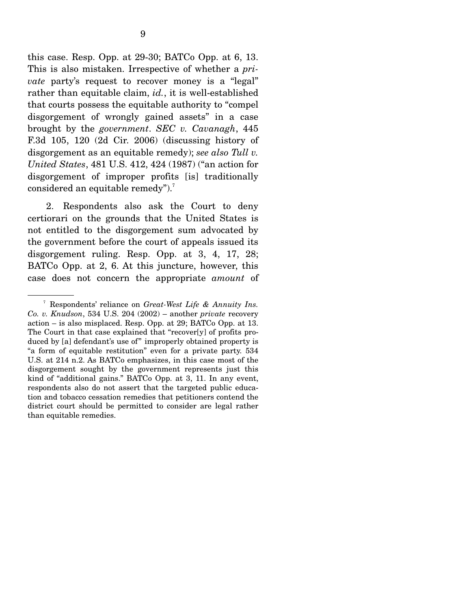this case. Resp. Opp. at 29-30; BATCo Opp. at 6, 13. This is also mistaken. Irrespective of whether a *private* party's request to recover money is a "legal" rather than equitable claim, *id.*, it is well-established that courts possess the equitable authority to "compel disgorgement of wrongly gained assets" in a case brought by the *government*. *SEC v. Cavanagh*, 445 F.3d 105, 120 (2d Cir. 2006) (discussing history of disgorgement as an equitable remedy); *see also Tull v. United States*, 481 U.S. 412, 424 (1987) ("an action for disgorgement of improper profits [is] traditionally considered an equitable remedy"). $^7$ 

 2. Respondents also ask the Court to deny certiorari on the grounds that the United States is not entitled to the disgorgement sum advocated by the government before the court of appeals issued its disgorgement ruling. Resp. Opp. at 3, 4, 17, 28; BATCo Opp. at 2, 6. At this juncture, however, this case does not concern the appropriate *amount* of

<sup>7</sup> Respondents' reliance on *Great-West Life & Annuity Ins. Co. v. Knudson*, 534 U.S. 204 (2002) – another *private* recovery action – is also misplaced. Resp. Opp. at 29; BATCo Opp. at 13. The Court in that case explained that "recover[y] of profits produced by [a] defendant's use of" improperly obtained property is "a form of equitable restitution" even for a private party. 534 U.S. at 214 n.2. As BATCo emphasizes, in this case most of the disgorgement sought by the government represents just this kind of "additional gains." BATCo Opp. at 3, 11. In any event, respondents also do not assert that the targeted public education and tobacco cessation remedies that petitioners contend the district court should be permitted to consider are legal rather than equitable remedies.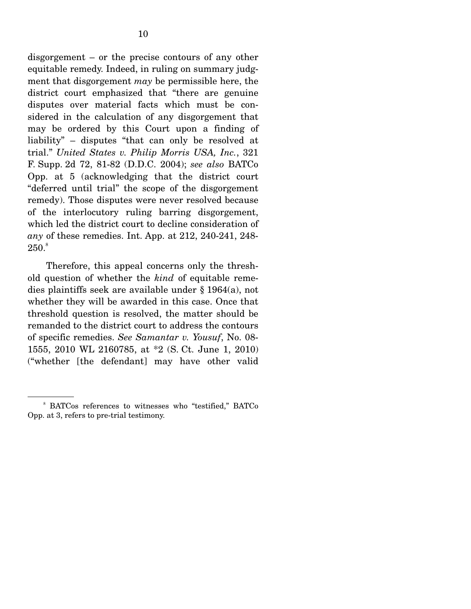disgorgement – or the precise contours of any other equitable remedy. Indeed, in ruling on summary judgment that disgorgement *may* be permissible here, the district court emphasized that "there are genuine disputes over material facts which must be considered in the calculation of any disgorgement that may be ordered by this Court upon a finding of liability" – disputes "that can only be resolved at trial." *United States v. Philip Morris USA, Inc.*, 321 F. Supp. 2d 72, 81-82 (D.D.C. 2004); *see also* BATCo Opp. at 5 (acknowledging that the district court "deferred until trial" the scope of the disgorgement remedy). Those disputes were never resolved because of the interlocutory ruling barring disgorgement, which led the district court to decline consideration of *any* of these remedies. Int. App. at 212, 240-241, 248-  $250.8$ 

 Therefore, this appeal concerns only the threshold question of whether the *kind* of equitable remedies plaintiffs seek are available under § 1964(a), not whether they will be awarded in this case. Once that threshold question is resolved, the matter should be remanded to the district court to address the contours of specific remedies. *See Samantar v. Yousuf*, No. 08- 1555, 2010 WL 2160785, at \*2 (S. Ct. June 1, 2010) ("whether [the defendant] may have other valid

<sup>8</sup> BATCos references to witnesses who "testified," BATCo Opp. at 3, refers to pre-trial testimony.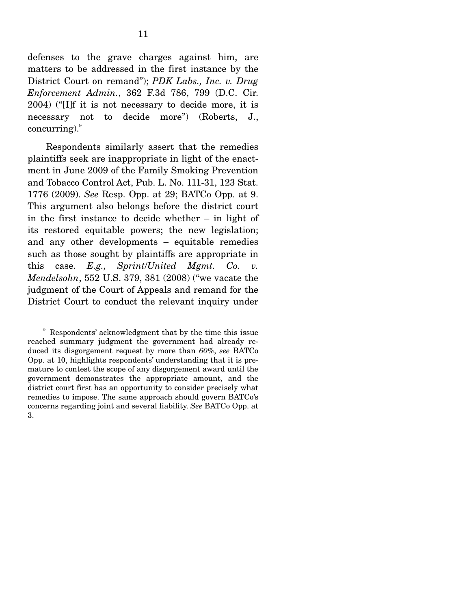defenses to the grave charges against him, are matters to be addressed in the first instance by the District Court on remand"); *PDK Labs., Inc. v. Drug Enforcement Admin.*, 362 F.3d 786, 799 (D.C. Cir. 2004) ("[I]f it is not necessary to decide more, it is necessary not to decide more") (Roberts, J., concurring). $9$ 

 Respondents similarly assert that the remedies plaintiffs seek are inappropriate in light of the enactment in June 2009 of the Family Smoking Prevention and Tobacco Control Act, Pub. L. No. 111-31, 123 Stat. 1776 (2009). *See* Resp. Opp. at 29; BATCo Opp. at 9. This argument also belongs before the district court in the first instance to decide whether – in light of its restored equitable powers; the new legislation; and any other developments – equitable remedies such as those sought by plaintiffs are appropriate in this case. *E.g., Sprint*/*United Mgmt. Co. v. Mendelsohn*, 552 U.S. 379, 381 (2008) ("we vacate the judgment of the Court of Appeals and remand for the District Court to conduct the relevant inquiry under

<sup>9</sup> Respondents' acknowledgment that by the time this issue reached summary judgment the government had already reduced its disgorgement request by more than *60%*, *see* BATCo Opp. at 10, highlights respondents' understanding that it is premature to contest the scope of any disgorgement award until the government demonstrates the appropriate amount, and the district court first has an opportunity to consider precisely what remedies to impose. The same approach should govern BATCo's concerns regarding joint and several liability. *See* BATCo Opp. at 3.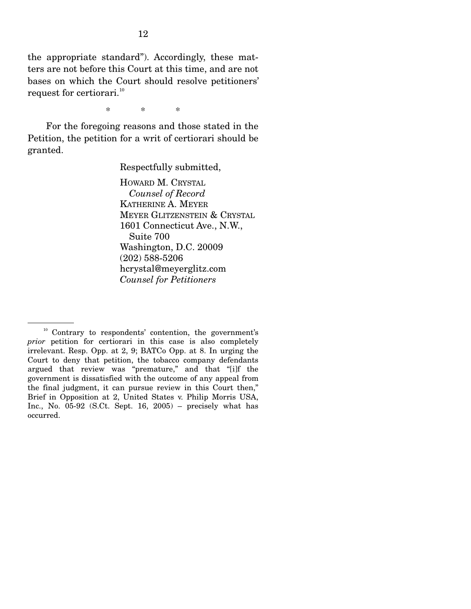the appropriate standard"). Accordingly, these matters are not before this Court at this time, and are not bases on which the Court should resolve petitioners' request for certiorari.<sup>10</sup>

\* \* \*

 For the foregoing reasons and those stated in the Petition, the petition for a writ of certiorari should be granted.

Respectfully submitted,

HOWARD M. CRYSTAL  *Counsel of Record* KATHERINE A. MEYER MEYER GLITZENSTEIN & CRYSTAL 1601 Connecticut Ave., N.W., Suite 700 Washington, D.C. 20009 (202) 588-5206 hcrystal@meyerglitz.com *Counsel for Petitioners* 

<sup>10</sup> Contrary to respondents' contention, the government's *prior* petition for certiorari in this case is also completely irrelevant. Resp. Opp. at 2, 9; BATCo Opp. at 8. In urging the Court to deny that petition, the tobacco company defendants argued that review was "premature," and that "[i]f the government is dissatisfied with the outcome of any appeal from the final judgment, it can pursue review in this Court then," Brief in Opposition at 2, United States v. Philip Morris USA, Inc., No. 05-92 (S.Ct. Sept. 16, 2005) – precisely what has occurred.